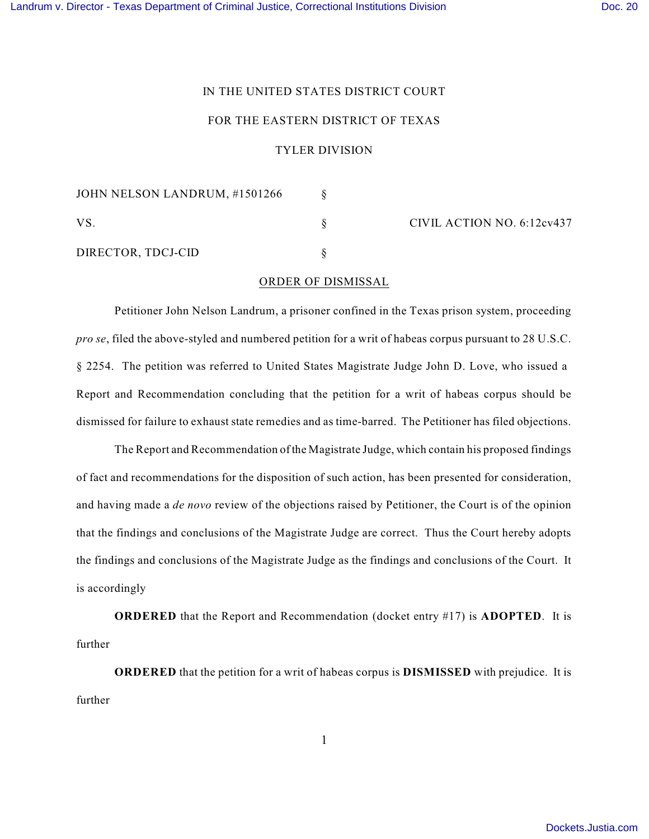## IN THE UNITED STATES DISTRICT COURT

## FOR THE EASTERN DISTRICT OF TEXAS

## TYLER DIVISION

| JOHN NELSON LANDRUM, #1501266 |  | CIVIL ACTION NO. 6:12cv437 |
|-------------------------------|--|----------------------------|
| VS.                           |  |                            |
| DIRECTOR, TDCJ-CID            |  |                            |

## ORDER OF DISMISSAL

Petitioner John Nelson Landrum, a prisoner confined in the Texas prison system, proceeding *pro se*, filed the above-styled and numbered petition for a writ of habeas corpus pursuant to 28 U.S.C. § 2254. The petition was referred to United States Magistrate Judge John D. Love, who issued a Report and Recommendation concluding that the petition for a writ of habeas corpus should be dismissed for failure to exhaust state remedies and as time-barred. The Petitioner has filed objections.

The Report and Recommendation of the Magistrate Judge, which contain his proposed findings of fact and recommendations for the disposition of such action, has been presented for consideration, and having made a *de novo* review of the objections raised by Petitioner, the Court is of the opinion that the findings and conclusions of the Magistrate Judge are correct. Thus the Court hereby adopts the findings and conclusions of the Magistrate Judge as the findings and conclusions of the Court. It is accordingly

**ORDERED** that the Report and Recommendation (docket entry #17) is **ADOPTED**. It is further

**ORDERED** that the petition for a writ of habeas corpus is **DISMISSED** with prejudice. It is further